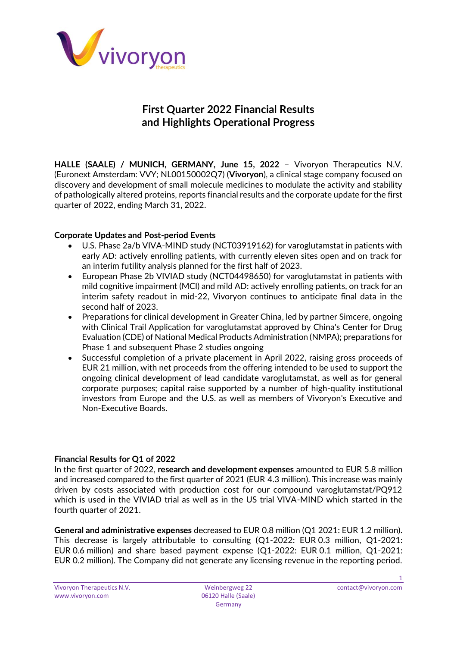

## **First Quarter 2022 Financial Results and Highlights Operational Progress**

**HALLE (SAALE) / MUNICH, GERMANY, June 15, 2022** – Vivoryon Therapeutics N.V. (Euronext Amsterdam: VVY; NL00150002Q7) (**Vivoryon**), a clinical stage company focused on discovery and development of small molecule medicines to modulate the activity and stability of pathologically altered proteins, reports financial results and the corporate update for the first quarter of 2022, ending March 31, 2022.

## **Corporate Updates and Post-period Events**

- U.S. Phase 2a/b VIVA-MIND study (NCT03919162) for varoglutamstat in patients with early AD: actively enrolling patients, with currently eleven sites open and on track for an interim futility analysis planned for the first half of 2023.
- European Phase 2b VIVIAD study (NCT04498650) for varoglutamstat in patients with mild cognitive impairment (MCI) and mild AD: actively enrolling patients, on track for an interim safety readout in mid-22, Vivoryon continues to anticipate final data in the second half of 2023.
- Preparations for clinical development in Greater China, led by partner Simcere, ongoing with Clinical Trail Application for varoglutamstat approved by China's Center for Drug Evaluation (CDE) of National Medical Products Administration (NMPA); preparations for Phase 1 and subsequent Phase 2 studies ongoing
- Successful completion of a private placement in April 2022, raising gross proceeds of EUR 21 million, with net proceeds from the offering intended to be used to support the ongoing clinical development of lead candidate varoglutamstat, as well as for general corporate purposes; capital raise supported by a number of high-quality institutional investors from Europe and the U.S. as well as members of Vivoryon's Executive and Non-Executive Boards.

## **Financial Results for Q1 of 2022**

In the first quarter of 2022, **research and development expenses** amounted to EUR 5.8 million and increased compared to the first quarter of 2021 (EUR 4.3 million). This increase was mainly driven by costs associated with production cost for our compound varoglutamstat/PQ912 which is used in the VIVIAD trial as well as in the US trial VIVA-MIND which started in the fourth quarter of 2021.

**General and administrative expenses** decreased to EUR 0.8 million (Q1 2021: EUR 1.2 million). This decrease is largely attributable to consulting (Q1-2022: EUR 0.3 million, Q1-2021: EUR 0.6 million) and share based payment expense (Q1-2022: EUR 0.1 million, Q1-2021: EUR 0.2 million). The Company did not generate any licensing revenue in the reporting period.